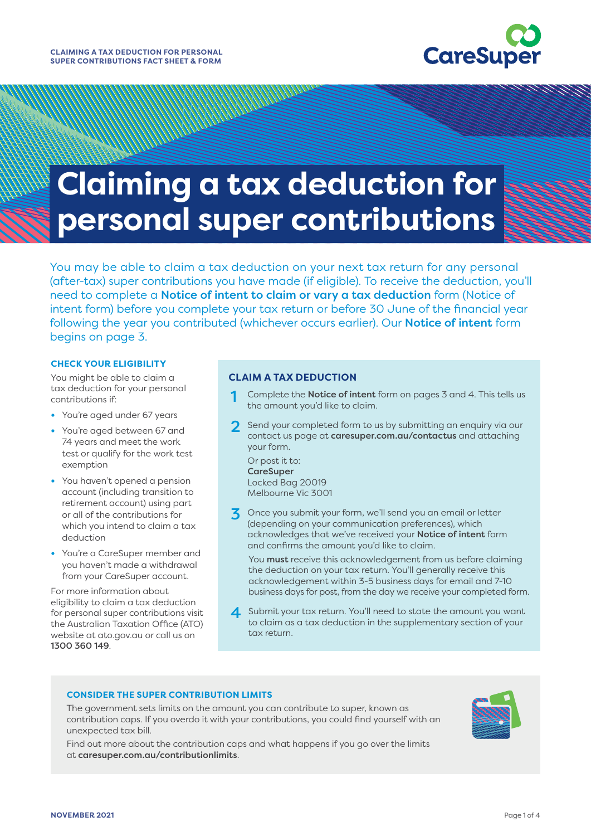

11111

## **Claiming a tax deduction for personal super contributions**

You may be able to claim a tax deduction on your next tax return for any personal (after-tax) super contributions you have made (if eligible). To receive the deduction, you'll need to complete a **Notice of intent to claim or vary a tax deduction** form (Notice of intent form) before you complete your tax return or before 30 June of the financial year following the year you contributed (whichever occurs earlier). Our **Notice of intent** form begins on page 3.

#### **CHECK YOUR ELIGIBILITY**

You might be able to claim a tax deduction for your personal contributions if:

- **•** You're aged under 67 years
- **•** You're aged between 67 and 74 years and meet the work test or qualify for the work test exemption
- **•** You haven't opened a pension account (including transition to retirement account) using part or all of the contributions for which you intend to claim a tax deduction
- **•** You're a CareSuper member and you haven't made a withdrawal from your CareSuper account.

For more information about eligibility to claim a tax deduction for personal super contributions visit the Australian Taxation Office (ATO) website at [ato.gov.au](http://ato.gov.au) or call us on 1300 360 149.

#### **CLAIM A TAX DEDUCTION**

- Complete the Notice of intent form on pages 3 and 4. This tells us the amount you'd like to claim.
- Send your completed form to us by submitting an enquiry via our contact us page at [caresuper.com.au/contactus](http://www.caresuper.com.au/contactus) and attaching your form.

Or post it to: **CareSuper** Locked Bag 20019 Melbourne Vic 3001

3 Once you submit your form, we'll send you an email or letter (depending on your communication preferences), which acknowledges that we've received your Notice of intent form and confirms the amount you'd like to claim.

You **must** receive this acknowledgement from us before claiming the deduction on your tax return. You'll generally receive this acknowledgement within 3-5 business days for email and 7-10 business days for post, from the day we receive your completed form.

4 Submit your tax return. You'll need to state the amount you want to claim as a tax deduction in the supplementary section of your tax return.

#### **CONSIDER THE SUPER CONTRIBUTION LIMITS**

The government sets limits on the amount you can contribute to super, known as contribution caps. If you overdo it with your contributions, you could find yourself with an unexpected tax bill.

Find out more about the contribution caps and what happens if you go over the limits at [caresuper.com.au/contributionlimits](http://www.caresuper.com.au/contributionlimits).

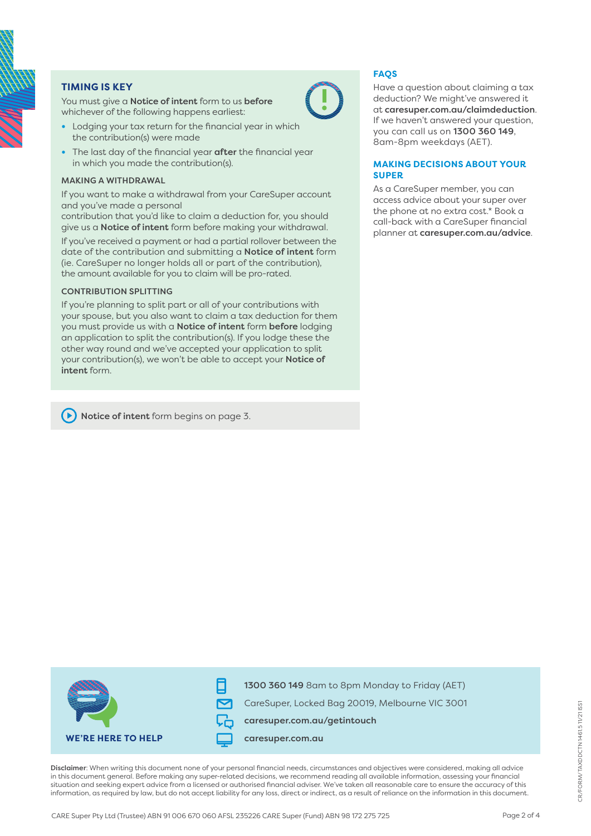

#### **TIMING IS KEY**

You must give a **Notice of intent** form to us **before** whichever of the following happens earliest:

- **•** Lodging your tax return for the financial year in which the contribution(s) were made
- **•** The last day of the financial year after the financial year in which you made the contribution(s).

#### MAKING A WITHDRAWAL

If you want to make a withdrawal from your CareSuper account and you've made a personal

contribution that you'd like to claim a deduction for, you should give us a **Notice of intent** form before making your withdrawal.

If you've received a payment or had a partial rollover between the date of the contribution and submitting a Notice of intent form (ie. CareSuper no longer holds all or part of the contribution), the amount available for you to claim will be pro-rated.

#### CONTRIBUTION SPLITTING

If you're planning to split part or all of your contributions with your spouse, but you also want to claim a tax deduction for them you must provide us with a Notice of intent form before lodging an application to split the contribution(s). If you lodge these the other way round and we've accepted your application to split your contribution(s), we won't be able to accept your Notice of intent form.

#### Notice of intent form begins on page 3.



Have a question about claiming a tax deduction? We might've answered it at [caresuper.com.au/claimdeduction](http://www.caresuper.com.au/claimdeduction). If we haven't answered your question, you can call us on 1300 360 149, 8am-8pm weekdays (AET).

#### **MAKING DECISIONS ABOUT YOUR SUPER**

As a CareSuper member, you can access advice about your super over the phone at no extra cost.\* Book a call-back with a CareSuper financial planner at [caresuper.com.au/advice](http://www.caresuper.com.au/advice).



Disclaimer: When writing this document none of your personal financial needs, circumstances and objectives were considered, making all advice in this document general. Before making any super-related decisions, we recommend reading all available information, assessing your financial situation and seeking expert advice from a licensed or authorised financial adviser. We've taken all reasonable care to ensure the accuracy of this information, as required by law, but do not accept liability for any loss, direct or indirect, as a result of reliance on the information in this document.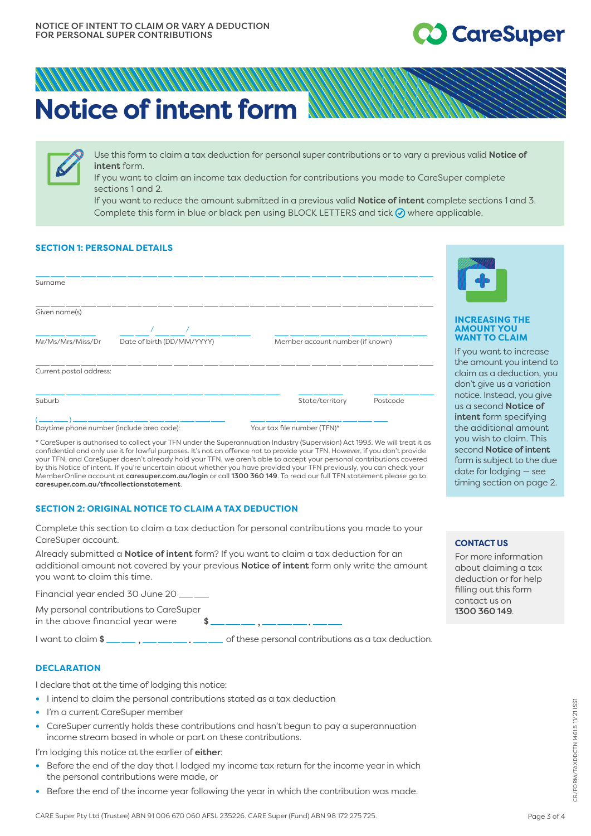### **CareSuper**

# **Notice of intent form**

Use this form to claim a tax deduction for personal super contributions or to vary a previous valid Notice of intent form.

If you want to claim an income tax deduction for contributions you made to CareSuper complete sections 1 and 2.

If you want to reduce the amount submitted in a previous valid Notice of intent complete sections 1 and 3. Complete this form in blue or black pen using BLOCK LETTERS and tick  $\oslash$  where applicable.

#### **SECTION 1: PERSONAL DETAILS**

| Member account number (if known) |  |  |  |  |  |  |  |
|----------------------------------|--|--|--|--|--|--|--|
|                                  |  |  |  |  |  |  |  |
| Postcode<br>State/territory      |  |  |  |  |  |  |  |
| Your tax file number (TFN)*      |  |  |  |  |  |  |  |
|                                  |  |  |  |  |  |  |  |

\* CareSuper is authorised to collect your TFN under the Superannuation Industry (Supervision) Act 1993. We will treat it as confidential and only use it for lawful purposes. It's not an offence not to provide your TFN. However, if you don't provide your TFN, and CareSuper doesn't already hold your TFN, we aren't able to accept your personal contributions covered by this Notice of intent. If you're uncertain about whether you have provided your TFN previously, you can check your MemberOnline account at caresuper.com.au/login or call 1300 360 149. To read our full TFN statement please go to caresuper.com.au/tfncollectionstatement.

#### **SECTION 2: ORIGINAL NOTICE TO CLAIM A TAX DEDUCTION**

Complete this section to claim a tax deduction for personal contributions you made to your CareSuper account.

Already submitted a **Notice of intent** form? If you want to claim a tax deduction for an additional amount not covered by your previous Notice of intent form only write the amount you want to claim this time.

Financial year ended 30 June 20

My personal contributions to CareSuper

in the above financial year were  $\sim$  \$

I want to claim \$ , . of these personal contributions as a tax deduction.

#### **DECLARATION**

I declare that at the time of lodging this notice:

- I intend to claim the personal contributions stated as a tax deduction
- I'm a current CareSuper member
- CareSuper currently holds these contributions and hasn't begun to pay a superannuation income stream based in whole or part on these contributions.

I'm lodging this notice at the earlier of either:

- Before the end of the day that I lodged my income tax return for the income year in which the personal contributions were made, or
- Before the end of the income year following the year in which the contribution was made.



#### **INCREASING THE AMOUNT YOU WANT TO CLAIM**

If you want to increase the amount you intend to claim as a deduction, you don't give us a variation notice. Instead, you give us a second Notice of intent form specifying the additional amount you wish to claim. This second Notice of intent form is subject to the due date for lodging — see timing section on page 2.

#### **CONTACT US**

For more information about claiming a tax deduction or for help filling out this form contact us on 1300 360 149.